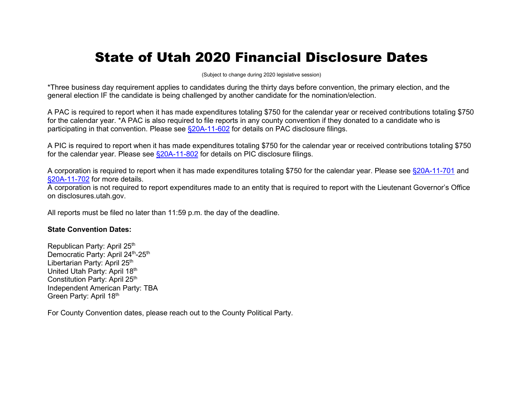## State of Utah 2020 Financial Disclosure Dates

(Subject to change during 2020 legislative session)

\*Three business day requirement applies to candidates during the thirty days before convention, the primary election, and the general election IF the candidate is being challenged by another candidate for the nomination/election.

A PAC is required to report when it has made expenditures totaling \$750 for the calendar year or received contributions totaling \$750 for the calendar year. \*A PAC is also required to file reports in any county convention if they donated to a candidate who is participating in that convention. Please see [§20A-11-602](http://le.utah.gov/xcode/Title20A/Chapter11/20A-11-S602.html?v=C20A-11-S602_2015051220150512) for details on PAC disclosure filings.

A PIC is required to report when it has made expenditures totaling \$750 for the calendar year or received contributions totaling \$750 for the calendar year. Please see [§20A-11-802](http://le.utah.gov/xcode/Title20A/Chapter11/20A-11-S802.html?v=C20A-11-S802_2015051220150512) for details on PIC disclosure filings.

A corporation is required to report when it has made expenditures totaling \$750 for the calendar year. Please see [§20A-11-701](http://le.utah.gov/xcode/Title20A/Chapter11/20A-11-S701.html?v=C20A-11-S701_2015051220150512) and [§20A-11-702](http://le.utah.gov/xcode/Title20A/Chapter11/20A-11-S702.html?v=C20A-11-S702_2015051220150512) for more details.

A corporation is not required to report expenditures made to an entity that is required to report with the Lieutenant Governor's Office on disclosures.utah.gov.

All reports must be filed no later than 11:59 p.m. the day of the deadline.

## **State Convention Dates:**

Republican Party: April 25<sup>th</sup> Democratic Party: April 24th-25th Libertarian Party: April 25<sup>th</sup> United Utah Party: April 18th Constitution Party: April 25<sup>th</sup> Independent American Party: TBA Green Party: April 18th

For County Convention dates, please reach out to the County Political Party.